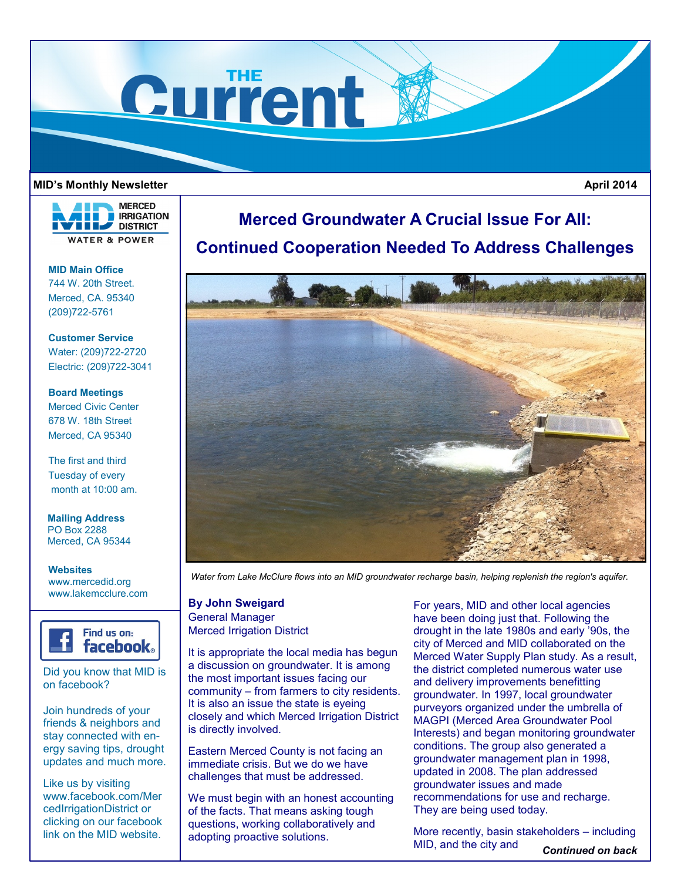

## **MID's Monthly Newsletter**

 **April 2014**



**MID Main Office** 744 W. 20th Street. Merced, CA. 95340 (209)722-5761

**Customer Service** Water: (209)722-2720 Electric: (209)722-3041

**Board Meetings** Merced Civic Center 678 W. 18th Street Merced, CA 95340

The first and third Tuesday of every month at 10:00 am.

**Mailing Address** PO Box 2288 Merced, CA 95344

**Websites** www.mercedid.org www.lakemcclure.com



Did you know that MID is on facebook?

Join hundreds of your friends & neighbors and stay connected with energy saving tips, drought updates and much more.

Like us by visiting www.facebook.com/Mer cedIrrigationDistrict or clicking on our facebook link on the MID website.

## **Merced Groundwater A Crucial Issue For All: Continued Cooperation Needed To Address Challenges**



*Water from Lake McClure flows into an MID groundwater recharge basin, helping replenish the region's aquifer.*

**By John Sweigard** General Manager Merced Irrigation District

It is appropriate the local media has begun a discussion on groundwater. It is among the most important issues facing our community – from farmers to city residents. It is also an issue the state is eyeing closely and which Merced Irrigation District is directly involved.

Eastern Merced County is not facing an immediate crisis. But we do we have challenges that must be addressed.

We must begin with an honest accounting of the facts. That means asking tough questions, working collaboratively and adopting proactive solutions.

For years, MID and other local agencies have been doing just that. Following the drought in the late 1980s and early '90s, the city of Merced and MID collaborated on the Merced Water Supply Plan study. As a result, the district completed numerous water use and delivery improvements benefitting groundwater. In 1997, local groundwater purveyors organized under the umbrella of MAGPI (Merced Area Groundwater Pool Interests) and began monitoring groundwater conditions. The group also generated a groundwater management plan in 1998, updated in 2008. The plan addressed groundwater issues and made recommendations for use and recharge. They are being used today.

More recently, basin stakeholders – including MID, and the city and *Continued on back*